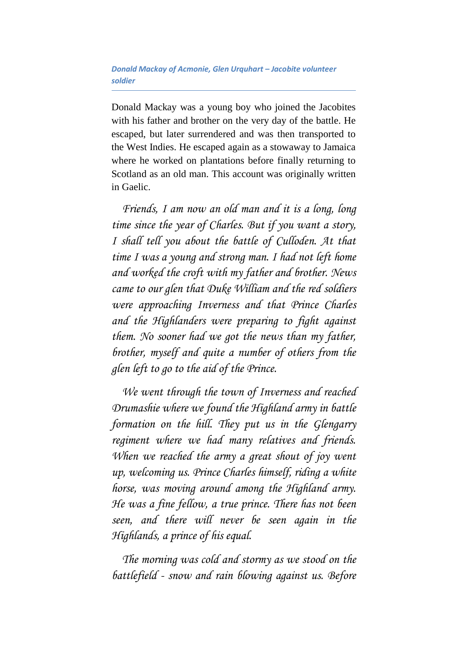## *Donald Mackay of Acmonie, Glen Urquhart – Jacobite volunteer soldier*

Donald Mackay was a young boy who joined the Jacobites with his father and brother on the very day of the battle. He escaped, but later surrendered and was then transported to the West Indies. He escaped again as a stowaway to Jamaica where he worked on plantations before finally returning to Scotland as an old man. This account was originally written in Gaelic.

*Friends, I am now an old man and it is a long, long time since the year of Charles. But if you want a story, I shall tell you about the battle of Culloden. At that time I was a young and strong man. I had not left home and worked the croft with my father and brother. News came to our glen that Duke William and the red soldiers were approaching Inverness and that Prince Charles and the Highlanders were preparing to fight against them. No sooner had we got the news than my father, brother, myself and quite a number of others from the glen left to go to the aid of the Prince.*

*We went through the town of Inverness and reached Drumashie where we found the Highland army in battle formation on the hill. They put us in the Glengarry regiment where we had many relatives and friends. When we reached the army a great shout of joy went up, welcoming us. Prince Charles himself, riding a white horse, was moving around among the Highland army. He was a fine fellow, a true prince. There has not been seen, and there will never be seen again in the Highlands, a prince of his equal.*

*The morning was cold and stormy as we stood on the battlefield - snow and rain blowing against us. Before*